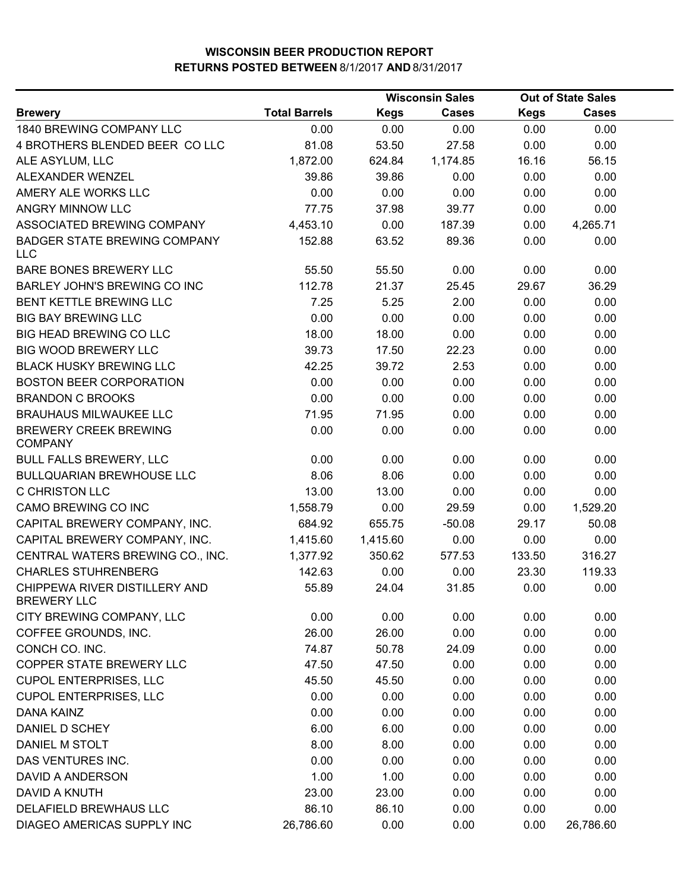|                                                     |                      |             | <b>Wisconsin Sales</b> |             | <b>Out of State Sales</b> |  |
|-----------------------------------------------------|----------------------|-------------|------------------------|-------------|---------------------------|--|
| <b>Brewery</b>                                      | <b>Total Barrels</b> | <b>Kegs</b> | <b>Cases</b>           | <b>Kegs</b> | <b>Cases</b>              |  |
| 1840 BREWING COMPANY LLC                            | 0.00                 | 0.00        | 0.00                   | 0.00        | 0.00                      |  |
| 4 BROTHERS BLENDED BEER COLLC                       | 81.08                | 53.50       | 27.58                  | 0.00        | 0.00                      |  |
| ALE ASYLUM, LLC                                     | 1,872.00             | 624.84      | 1,174.85               | 16.16       | 56.15                     |  |
| ALEXANDER WENZEL                                    | 39.86                | 39.86       | 0.00                   | 0.00        | 0.00                      |  |
| AMERY ALE WORKS LLC                                 | 0.00                 | 0.00        | 0.00                   | 0.00        | 0.00                      |  |
| <b>ANGRY MINNOW LLC</b>                             | 77.75                | 37.98       | 39.77                  | 0.00        | 0.00                      |  |
| ASSOCIATED BREWING COMPANY                          | 4,453.10             | 0.00        | 187.39                 | 0.00        | 4,265.71                  |  |
| <b>BADGER STATE BREWING COMPANY</b><br><b>LLC</b>   | 152.88               | 63.52       | 89.36                  | 0.00        | 0.00                      |  |
| BARE BONES BREWERY LLC                              | 55.50                | 55.50       | 0.00                   | 0.00        | 0.00                      |  |
| BARLEY JOHN'S BREWING CO INC                        | 112.78               | 21.37       | 25.45                  | 29.67       | 36.29                     |  |
| BENT KETTLE BREWING LLC                             | 7.25                 | 5.25        | 2.00                   | 0.00        | 0.00                      |  |
| <b>BIG BAY BREWING LLC</b>                          | 0.00                 | 0.00        | 0.00                   | 0.00        | 0.00                      |  |
| <b>BIG HEAD BREWING CO LLC</b>                      | 18.00                | 18.00       | 0.00                   | 0.00        | 0.00                      |  |
| BIG WOOD BREWERY LLC                                | 39.73                | 17.50       | 22.23                  | 0.00        | 0.00                      |  |
| <b>BLACK HUSKY BREWING LLC</b>                      | 42.25                | 39.72       | 2.53                   | 0.00        | 0.00                      |  |
| <b>BOSTON BEER CORPORATION</b>                      | 0.00                 | 0.00        | 0.00                   | 0.00        | 0.00                      |  |
| <b>BRANDON C BROOKS</b>                             | 0.00                 | 0.00        | 0.00                   | 0.00        | 0.00                      |  |
| <b>BRAUHAUS MILWAUKEE LLC</b>                       | 71.95                | 71.95       | 0.00                   | 0.00        | 0.00                      |  |
| <b>BREWERY CREEK BREWING</b><br><b>COMPANY</b>      | 0.00                 | 0.00        | 0.00                   | 0.00        | 0.00                      |  |
| <b>BULL FALLS BREWERY, LLC</b>                      | 0.00                 | 0.00        | 0.00                   | 0.00        | 0.00                      |  |
| <b>BULLQUARIAN BREWHOUSE LLC</b>                    | 8.06                 | 8.06        | 0.00                   | 0.00        | 0.00                      |  |
| C CHRISTON LLC                                      | 13.00                | 13.00       | 0.00                   | 0.00        | 0.00                      |  |
| CAMO BREWING CO INC                                 | 1,558.79             | 0.00        | 29.59                  | 0.00        | 1,529.20                  |  |
| CAPITAL BREWERY COMPANY, INC.                       | 684.92               | 655.75      | $-50.08$               | 29.17       | 50.08                     |  |
| CAPITAL BREWERY COMPANY, INC.                       | 1,415.60             | 1,415.60    | 0.00                   | 0.00        | 0.00                      |  |
| CENTRAL WATERS BREWING CO., INC.                    | 1,377.92             | 350.62      | 577.53                 | 133.50      | 316.27                    |  |
| <b>CHARLES STUHRENBERG</b>                          | 142.63               | 0.00        | 0.00                   | 23.30       | 119.33                    |  |
| CHIPPEWA RIVER DISTILLERY AND<br><b>BREWERY LLC</b> | 55.89                | 24.04       | 31.85                  | 0.00        | 0.00                      |  |
| CITY BREWING COMPANY, LLC                           | 0.00                 | 0.00        | 0.00                   | 0.00        | 0.00                      |  |
| COFFEE GROUNDS, INC.                                | 26.00                | 26.00       | 0.00                   | 0.00        | 0.00                      |  |
| CONCH CO. INC.                                      | 74.87                | 50.78       | 24.09                  | 0.00        | 0.00                      |  |
| COPPER STATE BREWERY LLC                            | 47.50                | 47.50       | 0.00                   | 0.00        | 0.00                      |  |
| <b>CUPOL ENTERPRISES, LLC</b>                       | 45.50                | 45.50       | 0.00                   | 0.00        | 0.00                      |  |
| <b>CUPOL ENTERPRISES, LLC</b>                       | 0.00                 | 0.00        | 0.00                   | 0.00        | 0.00                      |  |
| <b>DANA KAINZ</b>                                   | 0.00                 | 0.00        | 0.00                   | 0.00        | 0.00                      |  |
| DANIEL D SCHEY                                      | 6.00                 | 6.00        | 0.00                   | 0.00        | 0.00                      |  |
| DANIEL M STOLT                                      | 8.00                 | 8.00        | 0.00                   | 0.00        | 0.00                      |  |
| DAS VENTURES INC.                                   | 0.00                 | 0.00        | 0.00                   | 0.00        | 0.00                      |  |
| DAVID A ANDERSON                                    | 1.00                 | 1.00        | 0.00                   | 0.00        | 0.00                      |  |
| DAVID A KNUTH                                       | 23.00                | 23.00       | 0.00                   | 0.00        | 0.00                      |  |
| DELAFIELD BREWHAUS LLC                              | 86.10                | 86.10       | 0.00                   | 0.00        | 0.00                      |  |
| DIAGEO AMERICAS SUPPLY INC                          | 26,786.60            | 0.00        | 0.00                   | 0.00        | 26,786.60                 |  |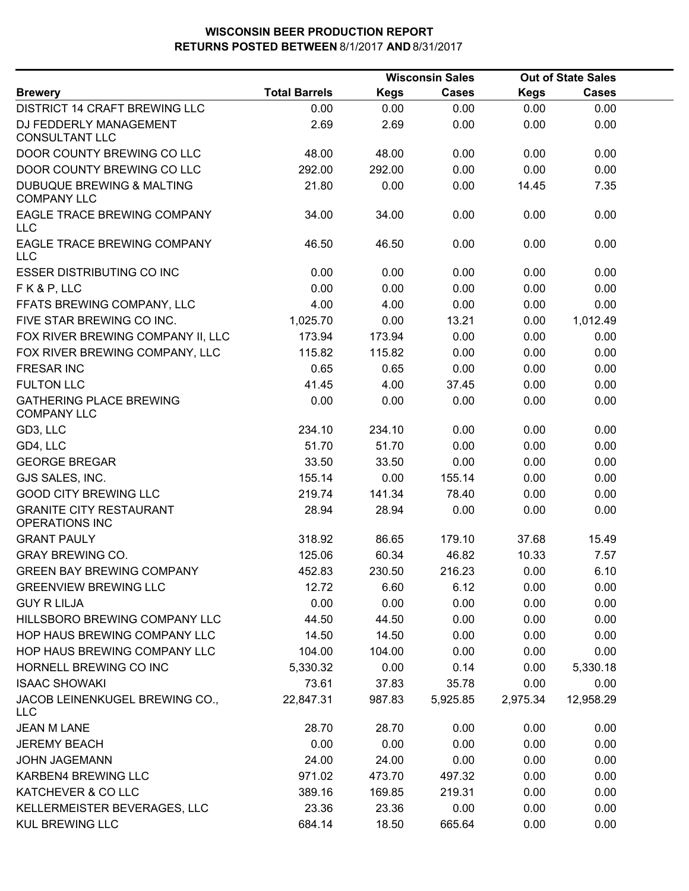|                                                         |                      |             | <b>Wisconsin Sales</b> |             | <b>Out of State Sales</b> |  |
|---------------------------------------------------------|----------------------|-------------|------------------------|-------------|---------------------------|--|
| <b>Brewery</b>                                          | <b>Total Barrels</b> | <b>Kegs</b> | <b>Cases</b>           | <b>Kegs</b> | <b>Cases</b>              |  |
| <b>DISTRICT 14 CRAFT BREWING LLC</b>                    | 0.00                 | 0.00        | 0.00                   | 0.00        | 0.00                      |  |
| DJ FEDDERLY MANAGEMENT<br><b>CONSULTANT LLC</b>         | 2.69                 | 2.69        | 0.00                   | 0.00        | 0.00                      |  |
| DOOR COUNTY BREWING CO LLC                              | 48.00                | 48.00       | 0.00                   | 0.00        | 0.00                      |  |
| DOOR COUNTY BREWING CO LLC                              | 292.00               | 292.00      | 0.00                   | 0.00        | 0.00                      |  |
| DUBUQUE BREWING & MALTING<br><b>COMPANY LLC</b>         | 21.80                | 0.00        | 0.00                   | 14.45       | 7.35                      |  |
| EAGLE TRACE BREWING COMPANY<br>LLC                      | 34.00                | 34.00       | 0.00                   | 0.00        | 0.00                      |  |
| EAGLE TRACE BREWING COMPANY<br><b>LLC</b>               | 46.50                | 46.50       | 0.00                   | 0.00        | 0.00                      |  |
| <b>ESSER DISTRIBUTING CO INC</b>                        | 0.00                 | 0.00        | 0.00                   | 0.00        | 0.00                      |  |
| FK&P, LLC                                               | 0.00                 | 0.00        | 0.00                   | 0.00        | 0.00                      |  |
| FFATS BREWING COMPANY, LLC                              | 4.00                 | 4.00        | 0.00                   | 0.00        | 0.00                      |  |
| FIVE STAR BREWING CO INC.                               | 1,025.70             | 0.00        | 13.21                  | 0.00        | 1,012.49                  |  |
| FOX RIVER BREWING COMPANY II, LLC                       | 173.94               | 173.94      | 0.00                   | 0.00        | 0.00                      |  |
| FOX RIVER BREWING COMPANY, LLC                          | 115.82               | 115.82      | 0.00                   | 0.00        | 0.00                      |  |
| <b>FRESAR INC</b>                                       | 0.65                 | 0.65        | 0.00                   | 0.00        | 0.00                      |  |
| <b>FULTON LLC</b>                                       | 41.45                | 4.00        | 37.45                  | 0.00        | 0.00                      |  |
| <b>GATHERING PLACE BREWING</b><br><b>COMPANY LLC</b>    | 0.00                 | 0.00        | 0.00                   | 0.00        | 0.00                      |  |
| GD3, LLC                                                | 234.10               | 234.10      | 0.00                   | 0.00        | 0.00                      |  |
| GD4, LLC                                                | 51.70                | 51.70       | 0.00                   | 0.00        | 0.00                      |  |
| <b>GEORGE BREGAR</b>                                    | 33.50                | 33.50       | 0.00                   | 0.00        | 0.00                      |  |
| GJS SALES, INC.                                         | 155.14               | 0.00        | 155.14                 | 0.00        | 0.00                      |  |
| <b>GOOD CITY BREWING LLC</b>                            | 219.74               | 141.34      | 78.40                  | 0.00        | 0.00                      |  |
| <b>GRANITE CITY RESTAURANT</b><br><b>OPERATIONS INC</b> | 28.94                | 28.94       | 0.00                   | 0.00        | 0.00                      |  |
| <b>GRANT PAULY</b>                                      | 318.92               | 86.65       | 179.10                 | 37.68       | 15.49                     |  |
| <b>GRAY BREWING CO.</b>                                 | 125.06               | 60.34       | 46.82                  | 10.33       | 7.57                      |  |
| <b>GREEN BAY BREWING COMPANY</b>                        | 452.83               | 230.50      | 216.23                 | 0.00        | 6.10                      |  |
| <b>GREENVIEW BREWING LLC</b>                            | 12.72                | 6.60        | 6.12                   | 0.00        | 0.00                      |  |
| <b>GUY R LILJA</b>                                      | 0.00                 | 0.00        | 0.00                   | 0.00        | 0.00                      |  |
| HILLSBORO BREWING COMPANY LLC                           | 44.50                | 44.50       | 0.00                   | 0.00        | 0.00                      |  |
| HOP HAUS BREWING COMPANY LLC                            | 14.50                | 14.50       | 0.00                   | 0.00        | 0.00                      |  |
| HOP HAUS BREWING COMPANY LLC                            | 104.00               | 104.00      | 0.00                   | 0.00        | 0.00                      |  |
| HORNELL BREWING CO INC                                  | 5,330.32             | 0.00        | 0.14                   | 0.00        | 5,330.18                  |  |
| <b>ISAAC SHOWAKI</b>                                    | 73.61                | 37.83       | 35.78                  | 0.00        | 0.00                      |  |
| JACOB LEINENKUGEL BREWING CO.,<br>LLC                   | 22,847.31            | 987.83      | 5,925.85               | 2,975.34    | 12,958.29                 |  |
| <b>JEAN M LANE</b>                                      | 28.70                | 28.70       | 0.00                   | 0.00        | 0.00                      |  |
| <b>JEREMY BEACH</b>                                     | 0.00                 | 0.00        | 0.00                   | 0.00        | 0.00                      |  |
| <b>JOHN JAGEMANN</b>                                    | 24.00                | 24.00       | 0.00                   | 0.00        | 0.00                      |  |
| KARBEN4 BREWING LLC                                     | 971.02               | 473.70      | 497.32                 | 0.00        | 0.00                      |  |
| KATCHEVER & CO LLC                                      | 389.16               | 169.85      | 219.31                 | 0.00        | 0.00                      |  |
| KELLERMEISTER BEVERAGES, LLC                            | 23.36                | 23.36       | 0.00                   | 0.00        | 0.00                      |  |
| <b>KUL BREWING LLC</b>                                  | 684.14               | 18.50       | 665.64                 | 0.00        | 0.00                      |  |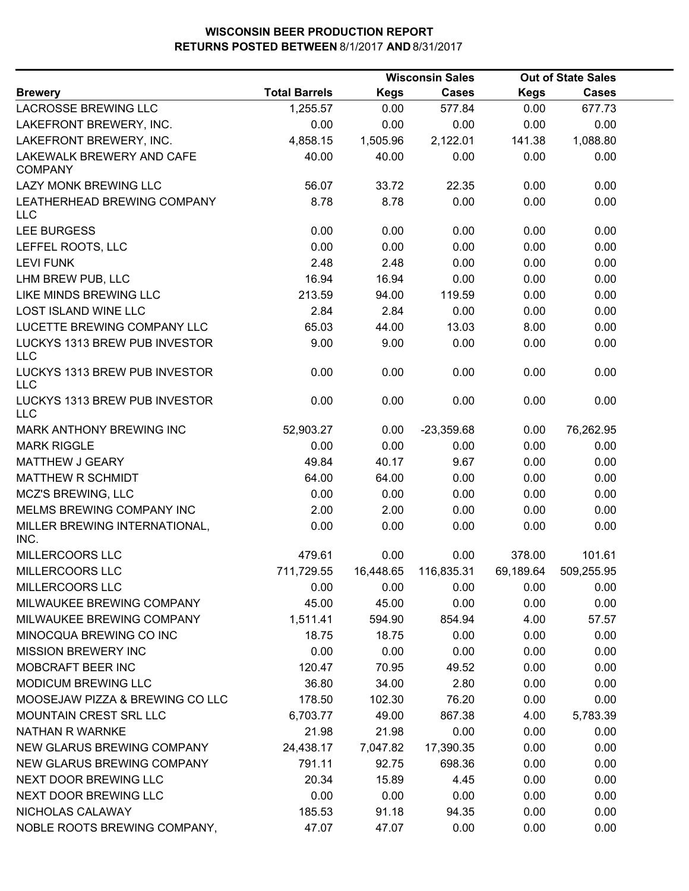|                                             |                      |             | <b>Wisconsin Sales</b> |             | <b>Out of State Sales</b> |  |
|---------------------------------------------|----------------------|-------------|------------------------|-------------|---------------------------|--|
| <b>Brewery</b>                              | <b>Total Barrels</b> | <b>Kegs</b> | <b>Cases</b>           | <b>Kegs</b> | <b>Cases</b>              |  |
| <b>LACROSSE BREWING LLC</b>                 | 1,255.57             | 0.00        | 577.84                 | 0.00        | 677.73                    |  |
| LAKEFRONT BREWERY, INC.                     | 0.00                 | 0.00        | 0.00                   | 0.00        | 0.00                      |  |
| LAKEFRONT BREWERY, INC.                     | 4,858.15             | 1,505.96    | 2,122.01               | 141.38      | 1,088.80                  |  |
| LAKEWALK BREWERY AND CAFE<br><b>COMPANY</b> | 40.00                | 40.00       | 0.00                   | 0.00        | 0.00                      |  |
| LAZY MONK BREWING LLC                       | 56.07                | 33.72       | 22.35                  | 0.00        | 0.00                      |  |
| LEATHERHEAD BREWING COMPANY<br><b>LLC</b>   | 8.78                 | 8.78        | 0.00                   | 0.00        | 0.00                      |  |
| LEE BURGESS                                 | 0.00                 | 0.00        | 0.00                   | 0.00        | 0.00                      |  |
| LEFFEL ROOTS, LLC                           | 0.00                 | 0.00        | 0.00                   | 0.00        | 0.00                      |  |
| <b>LEVI FUNK</b>                            | 2.48                 | 2.48        | 0.00                   | 0.00        | 0.00                      |  |
| LHM BREW PUB, LLC                           | 16.94                | 16.94       | 0.00                   | 0.00        | 0.00                      |  |
| LIKE MINDS BREWING LLC                      | 213.59               | 94.00       | 119.59                 | 0.00        | 0.00                      |  |
| LOST ISLAND WINE LLC                        | 2.84                 | 2.84        | 0.00                   | 0.00        | 0.00                      |  |
| LUCETTE BREWING COMPANY LLC                 | 65.03                | 44.00       | 13.03                  | 8.00        | 0.00                      |  |
| LUCKYS 1313 BREW PUB INVESTOR<br><b>LLC</b> | 9.00                 | 9.00        | 0.00                   | 0.00        | 0.00                      |  |
| LUCKYS 1313 BREW PUB INVESTOR<br><b>LLC</b> | 0.00                 | 0.00        | 0.00                   | 0.00        | 0.00                      |  |
| LUCKYS 1313 BREW PUB INVESTOR<br><b>LLC</b> | 0.00                 | 0.00        | 0.00                   | 0.00        | 0.00                      |  |
| MARK ANTHONY BREWING INC                    | 52,903.27            | 0.00        | $-23,359.68$           | 0.00        | 76,262.95                 |  |
| <b>MARK RIGGLE</b>                          | 0.00                 | 0.00        | 0.00                   | 0.00        | 0.00                      |  |
| MATTHEW J GEARY                             | 49.84                | 40.17       | 9.67                   | 0.00        | 0.00                      |  |
| MATTHEW R SCHMIDT                           | 64.00                | 64.00       | 0.00                   | 0.00        | 0.00                      |  |
| <b>MCZ'S BREWING, LLC</b>                   | 0.00                 | 0.00        | 0.00                   | 0.00        | 0.00                      |  |
| MELMS BREWING COMPANY INC                   | 2.00                 | 2.00        | 0.00                   | 0.00        | 0.00                      |  |
| MILLER BREWING INTERNATIONAL,<br>INC.       | 0.00                 | 0.00        | 0.00                   | 0.00        | 0.00                      |  |
| MILLERCOORS LLC                             | 479.61               | 0.00        | 0.00                   | 378.00      | 101.61                    |  |
| MILLERCOORS LLC                             | 711,729.55           | 16,448.65   | 116,835.31             | 69,189.64   | 509,255.95                |  |
| MILLERCOORS LLC                             | 0.00                 | 0.00        | 0.00                   | 0.00        | 0.00                      |  |
| MILWAUKEE BREWING COMPANY                   | 45.00                | 45.00       | 0.00                   | 0.00        | 0.00                      |  |
| MILWAUKEE BREWING COMPANY                   | 1,511.41             | 594.90      | 854.94                 | 4.00        | 57.57                     |  |
| MINOCQUA BREWING CO INC                     | 18.75                | 18.75       | 0.00                   | 0.00        | 0.00                      |  |
| <b>MISSION BREWERY INC</b>                  | 0.00                 | 0.00        | 0.00                   | 0.00        | 0.00                      |  |
| MOBCRAFT BEER INC                           | 120.47               | 70.95       | 49.52                  | 0.00        | 0.00                      |  |
| MODICUM BREWING LLC                         | 36.80                | 34.00       | 2.80                   | 0.00        | 0.00                      |  |
| MOOSEJAW PIZZA & BREWING CO LLC             | 178.50               | 102.30      | 76.20                  | 0.00        | 0.00                      |  |
| MOUNTAIN CREST SRL LLC                      | 6,703.77             | 49.00       | 867.38                 | 4.00        | 5,783.39                  |  |
| <b>NATHAN R WARNKE</b>                      | 21.98                | 21.98       | 0.00                   | 0.00        | 0.00                      |  |
| NEW GLARUS BREWING COMPANY                  | 24,438.17            | 7,047.82    | 17,390.35              | 0.00        | 0.00                      |  |
| NEW GLARUS BREWING COMPANY                  | 791.11               | 92.75       | 698.36                 | 0.00        | 0.00                      |  |
| NEXT DOOR BREWING LLC                       | 20.34                | 15.89       | 4.45                   | 0.00        | 0.00                      |  |
| NEXT DOOR BREWING LLC                       | 0.00                 | 0.00        | 0.00                   | 0.00        | 0.00                      |  |
| NICHOLAS CALAWAY                            | 185.53               | 91.18       | 94.35                  | 0.00        | 0.00                      |  |
| NOBLE ROOTS BREWING COMPANY,                | 47.07                | 47.07       | 0.00                   | 0.00        | 0.00                      |  |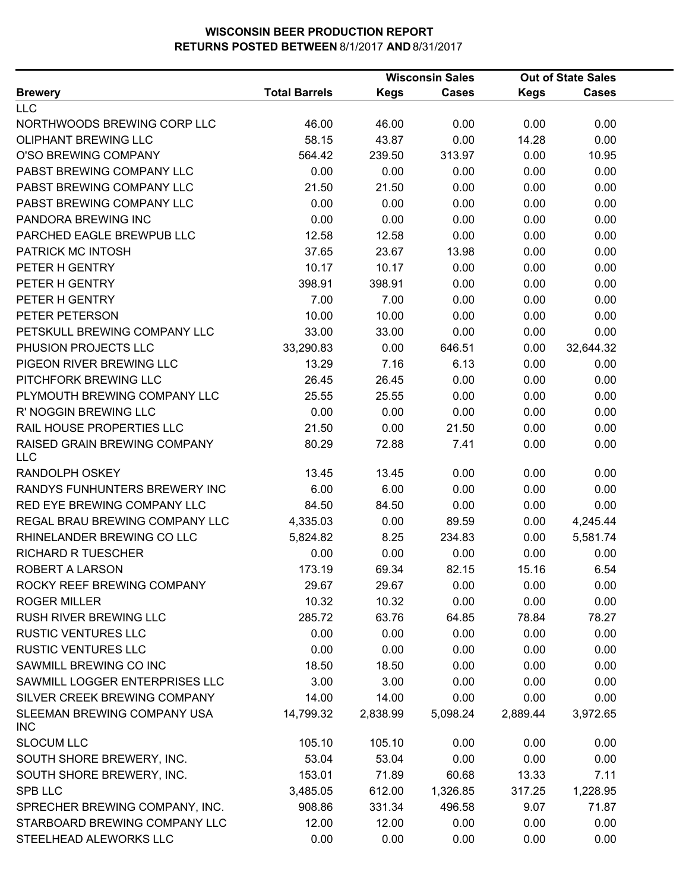|                                            |                      |             | <b>Wisconsin Sales</b> |             | <b>Out of State Sales</b> |  |
|--------------------------------------------|----------------------|-------------|------------------------|-------------|---------------------------|--|
| <b>Brewery</b>                             | <b>Total Barrels</b> | <b>Kegs</b> | <b>Cases</b>           | <b>Kegs</b> | <b>Cases</b>              |  |
| <b>LLC</b>                                 |                      |             |                        |             |                           |  |
| NORTHWOODS BREWING CORP LLC                | 46.00                | 46.00       | 0.00                   | 0.00        | 0.00                      |  |
| OLIPHANT BREWING LLC                       | 58.15                | 43.87       | 0.00                   | 14.28       | 0.00                      |  |
| O'SO BREWING COMPANY                       | 564.42               | 239.50      | 313.97                 | 0.00        | 10.95                     |  |
| PABST BREWING COMPANY LLC                  | 0.00                 | 0.00        | 0.00                   | 0.00        | 0.00                      |  |
| PABST BREWING COMPANY LLC                  | 21.50                | 21.50       | 0.00                   | 0.00        | 0.00                      |  |
| PABST BREWING COMPANY LLC                  | 0.00                 | 0.00        | 0.00                   | 0.00        | 0.00                      |  |
| PANDORA BREWING INC                        | 0.00                 | 0.00        | 0.00                   | 0.00        | 0.00                      |  |
| PARCHED EAGLE BREWPUB LLC                  | 12.58                | 12.58       | 0.00                   | 0.00        | 0.00                      |  |
| PATRICK MC INTOSH                          | 37.65                | 23.67       | 13.98                  | 0.00        | 0.00                      |  |
| PETER H GENTRY                             | 10.17                | 10.17       | 0.00                   | 0.00        | 0.00                      |  |
| PETER H GENTRY                             | 398.91               | 398.91      | 0.00                   | 0.00        | 0.00                      |  |
| PETER H GENTRY                             | 7.00                 | 7.00        | 0.00                   | 0.00        | 0.00                      |  |
| PETER PETERSON                             | 10.00                | 10.00       | 0.00                   | 0.00        | 0.00                      |  |
| PETSKULL BREWING COMPANY LLC               | 33.00                | 33.00       | 0.00                   | 0.00        | 0.00                      |  |
| PHUSION PROJECTS LLC                       | 33,290.83            | 0.00        | 646.51                 | 0.00        | 32,644.32                 |  |
| PIGEON RIVER BREWING LLC                   | 13.29                | 7.16        | 6.13                   | 0.00        | 0.00                      |  |
| PITCHFORK BREWING LLC                      | 26.45                | 26.45       | 0.00                   | 0.00        | 0.00                      |  |
| PLYMOUTH BREWING COMPANY LLC               | 25.55                | 25.55       | 0.00                   | 0.00        | 0.00                      |  |
| R' NOGGIN BREWING LLC                      | 0.00                 | 0.00        | 0.00                   | 0.00        | 0.00                      |  |
| RAIL HOUSE PROPERTIES LLC                  | 21.50                | 0.00        | 21.50                  | 0.00        | 0.00                      |  |
| RAISED GRAIN BREWING COMPANY<br><b>LLC</b> | 80.29                | 72.88       | 7.41                   | 0.00        | 0.00                      |  |
| <b>RANDOLPH OSKEY</b>                      | 13.45                | 13.45       | 0.00                   | 0.00        | 0.00                      |  |
| RANDYS FUNHUNTERS BREWERY INC              | 6.00                 | 6.00        | 0.00                   | 0.00        | 0.00                      |  |
| RED EYE BREWING COMPANY LLC                | 84.50                | 84.50       | 0.00                   | 0.00        | 0.00                      |  |
| REGAL BRAU BREWING COMPANY LLC             | 4,335.03             | 0.00        | 89.59                  | 0.00        | 4,245.44                  |  |
| RHINELANDER BREWING CO LLC                 | 5,824.82             | 8.25        | 234.83                 | 0.00        | 5,581.74                  |  |
| <b>RICHARD R TUESCHER</b>                  | 0.00                 | 0.00        | 0.00                   | 0.00        | 0.00                      |  |
| ROBERT A LARSON                            | 173.19               | 69.34       | 82.15                  | 15.16       | 6.54                      |  |
| ROCKY REEF BREWING COMPANY                 | 29.67                | 29.67       | 0.00                   | 0.00        | 0.00                      |  |
| <b>ROGER MILLER</b>                        | 10.32                | 10.32       | 0.00                   | 0.00        | 0.00                      |  |
| <b>RUSH RIVER BREWING LLC</b>              | 285.72               | 63.76       | 64.85                  | 78.84       | 78.27                     |  |
| <b>RUSTIC VENTURES LLC</b>                 | 0.00                 | 0.00        | 0.00                   | 0.00        | 0.00                      |  |
| <b>RUSTIC VENTURES LLC</b>                 | 0.00                 | 0.00        | 0.00                   | 0.00        | 0.00                      |  |
| SAWMILL BREWING CO INC                     | 18.50                | 18.50       | 0.00                   | 0.00        | 0.00                      |  |
| SAWMILL LOGGER ENTERPRISES LLC             | 3.00                 | 3.00        | 0.00                   | 0.00        | 0.00                      |  |
| SILVER CREEK BREWING COMPANY               | 14.00                | 14.00       | 0.00                   | 0.00        | 0.00                      |  |
| SLEEMAN BREWING COMPANY USA<br>INC         | 14,799.32            | 2,838.99    | 5,098.24               | 2,889.44    | 3,972.65                  |  |
| <b>SLOCUM LLC</b>                          | 105.10               | 105.10      | 0.00                   | 0.00        | 0.00                      |  |
| SOUTH SHORE BREWERY, INC.                  | 53.04                | 53.04       | 0.00                   | 0.00        | 0.00                      |  |
| SOUTH SHORE BREWERY, INC.                  | 153.01               | 71.89       | 60.68                  | 13.33       | 7.11                      |  |
| <b>SPB LLC</b>                             | 3,485.05             | 612.00      | 1,326.85               | 317.25      | 1,228.95                  |  |
| SPRECHER BREWING COMPANY, INC.             | 908.86               | 331.34      | 496.58                 | 9.07        | 71.87                     |  |
| STARBOARD BREWING COMPANY LLC              | 12.00                | 12.00       | 0.00                   | 0.00        | 0.00                      |  |
| STEELHEAD ALEWORKS LLC                     | 0.00                 | 0.00        | 0.00                   | 0.00        | 0.00                      |  |